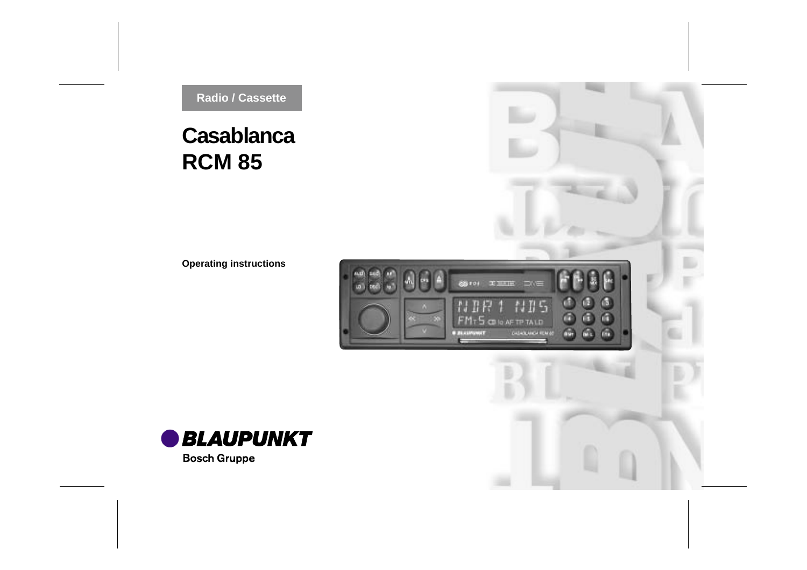**Radio / Cassette**

# **Casablanca RCM 85**

**Operating instructions**



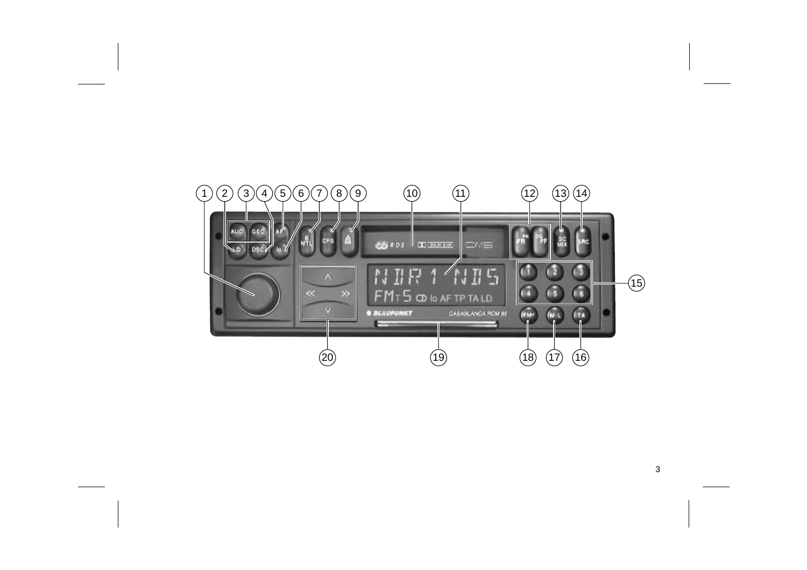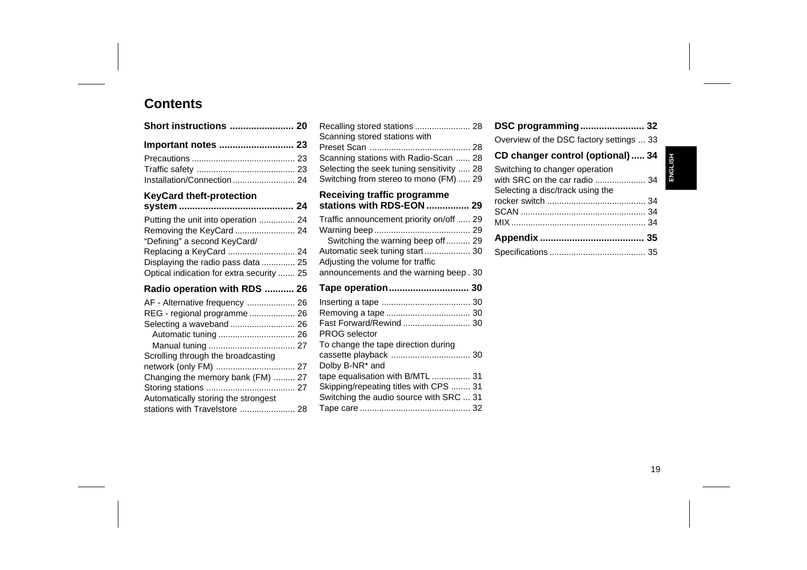# **Contents**

| <b>Short instructions  20</b>             |  |
|-------------------------------------------|--|
| <b>Important notes  23</b>                |  |
|                                           |  |
|                                           |  |
| Installation/Connection  24               |  |
| <b>KeyCard theft-protection</b>           |  |
|                                           |  |
| Putting the unit into operation  24       |  |
| Removing the KeyCard  24                  |  |
| "Defining" a second KeyCard/              |  |
| Replacing a KeyCard  24                   |  |
| Displaying the radio pass data  25        |  |
| Optical indication for extra security  25 |  |
| Radio operation with RDS  26              |  |
| AF - Alternative frequency  26            |  |
| REG - regional programme  26              |  |
| Selecting a waveband  26                  |  |
| Automatic tuning  26                      |  |
|                                           |  |
| Scrolling through the broadcasting        |  |
| network (only FM)  27                     |  |
| Changing the memory bank (FM)  27         |  |
|                                           |  |
| Automatically storing the strongest       |  |
| stations with Travelstore  28             |  |

| Recalling stored stations  28<br>Scanning stored stations with |
|----------------------------------------------------------------|
| Scanning stations with Radio-Scan  28                          |
| Selecting the seek tuning sensitivity  28                      |
| Switching from stereo to mono (FM)  29                         |
|                                                                |
| <b>Receiving traffic programme</b>                             |
| stations with RDS-EON  29                                      |
| Traffic announcement priority on/off  29                       |
|                                                                |
| Switching the warning beep off 29                              |
| Automatic seek tuning start 30                                 |
| Adjusting the volume for traffic                               |
|                                                                |
| announcements and the warning beep. 30                         |
|                                                                |
| Tape operation 30                                              |
|                                                                |
|                                                                |
| Fast Forward/Rewind  30                                        |
| <b>PROG</b> selector                                           |
| To change the tape direction during                            |
|                                                                |
| Dolby B-NR* and                                                |
| tape equalisation with B/MTL  31                               |
| Skipping/repeating titles with CPS  31                         |
| Switching the audio source with SRC  31                        |

| DSC programming 32                                                                                  |  |
|-----------------------------------------------------------------------------------------------------|--|
| Overview of the DSC factory settings  33                                                            |  |
| CD changer control (optional) 34                                                                    |  |
| Switching to changer operation<br>with SRC on the car radio  34<br>Selecting a disc/track using the |  |
|                                                                                                     |  |
|                                                                                                     |  |
|                                                                                                     |  |
|                                                                                                     |  |
|                                                                                                     |  |

**ENGLISH**

ENGLISH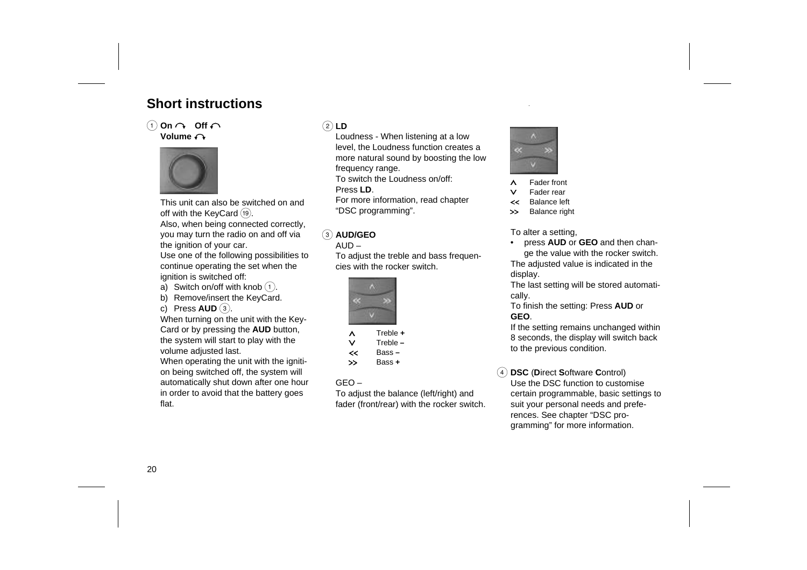# **Short instructions**

#### $On \cap$  Off  $\cap$ **Volume**



This unit can also be switched on and off with the KeyCard  $(19)$ .

Also, when being connected correctly, you may turn the radio on and off via the ignition of your car.

Use one of the following possibilities to continue operating the set when the ignition is switched off:

a) Switch on/off with knob  $(1)$ .

b) Remove/insert the KeyCard.

c) Press  $AUD(3)$ .

When turning on the unit with the Key-Card or by pressing the **AUD** button, the system will start to play with the volume adjusted last.

When operating the unit with the ignition being switched off, the system will automatically shut down after one hour in order to avoid that the battery goes flat.

### 2 **LD**

Loudness - When listening at a low level, the Loudness function creates a more natural sound by boosting the low frequency range.

To switch the Loudness on/off:

#### Press **LD**.

For more information, read chapter "DSC programming".

# 3 **AUD/GEO**

 $AIID -$ 

To adjust the treble and bass frequencies with the rocker switch.



| $\lambda$ | Treble <b>+</b> |
|-----------|-----------------|
|           | Treble –        |

Bass **–** ≪

Bass **<sup>+</sup>**  $\rightarrow$ 

#### $GEO -$

To adjust the balance (left/right) and fader (front/rear) with the rocker switch.



- $\lambda$ Fader front
- Fader rear  $\mathbf v$
- æ Balance left
- Balance right  $\rightarrow$

#### To alter a setting,

• press **AUD** or **GEO** and then change the value with the rocker switch.

The adjusted value is indicated in the display.

The last setting will be stored automatically.

To finish the setting: Press **AUD** or **GEO**.

If the setting remains unchanged within 8 seconds, the display will switch back to the previous condition.

#### 4 **DSC** (**D**irect **S**oftware **C**ontrol) Use the DSC function to customise certain programmable, basic settings to suit your personal needs and preferences. See chapter "DSC programming" for more information.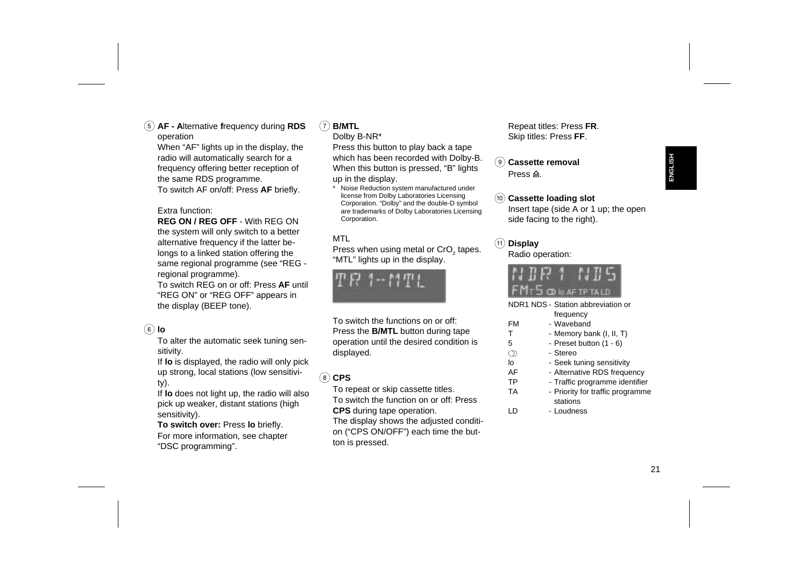5 **AF - A**lternative **f**requency during **RDS** operation

When "AF" lights up in the display, the radio will automatically search for a frequency offering better reception of the same RDS programme.

To switch AF on/off: Press **AF** briefly.

#### Extra function:

**REG ON / REG OFF** - With REG ON the system will only switch to a better alternative frequency if the latter belongs to a linked station offering the same regional programme (see "REG regional programme).

To switch REG on or off: Press **AF** until "REG ON" or "REG OFF" appears in the display (BEEP tone).

#### 6 **lo**

To alter the automatic seek tuning sensitivity.

If **lo** is displayed, the radio will only pick up strong, local stations (low sensitivity).

If **lo** does not light up, the radio will also pick up weaker, distant stations (high sensitivity).

**To switch over:** Press **lo** briefly. For more information, see chapter "DSC programming".

#### 7 **B/MTL**

Dolby B-NR\*

Press this button to play back a tape which has been recorded with Dolby-B. When this button is pressed, "B" lights up in the display.

\* Noise Reduction system manufactured under license from Dolby Laboratories Licensing Corporation. "Dolby" and the double-D symbol are trademarks of Dolby Laboratories Licensing Corporation.

#### **MTL**

Press when using metal or CrO<sub>2</sub> tapes. "MTL" lights up in the display.

To switch the functions on or off: Press the **B/MTL** button during tape operation until the desired condition is displayed.

#### 8 **CPS**

To repeat or skip cassette titles. To switch the function on or off: Press **CPS** during tape operation.

The display shows the adjusted condition ("CPS ON/OFF") each time the button is pressed.

Repeat titles: Press **FR**. Skip titles: Press **FF**.

#### 9 **Cassette removal** Press  $A$ .

#### : **Cassette loading slot**

Insert tape (side A or 1 up; the open side facing to the right).

#### ; **Display**

 $\infty$ 

Radio operation:



|    | NDR1 NDS - Station abbreviation or |
|----|------------------------------------|
|    | frequency                          |
| FM | - Waveband                         |
| т  | - Memory bank (I, II, T)           |

- 5 Preset button (1 6)
	- Stereo
- lo Seek tuning sensitivity
- AF Alternative RDS frequency
- TP Traffic programme identifier
- TA Priority for traffic programme stations
- LD Loudness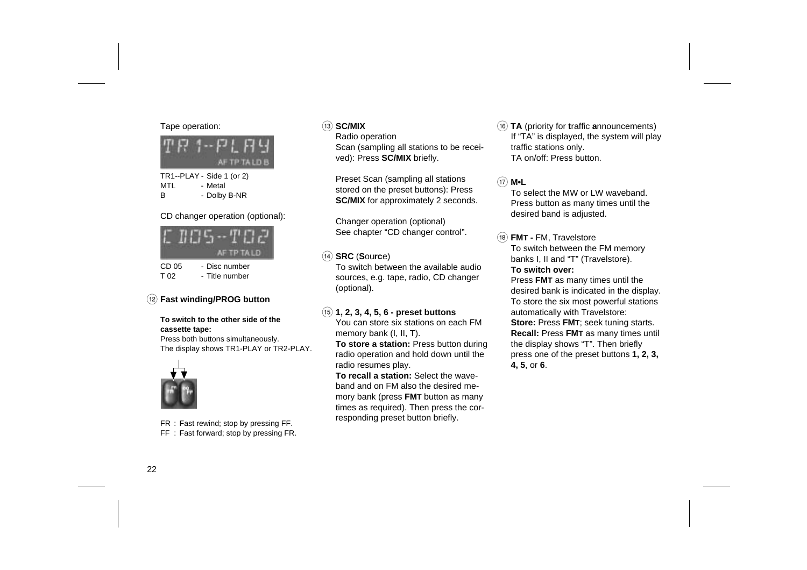Tape operation:



TR1--PLAY - Side 1 (or 2) MTI - Metal B - Dolby B-NR

#### CD changer operation (optional):



CD 05 - Disc number T 02 - Title number

### < **Fast winding/PROG button**

#### **To switch to the other side of the cassette tape:**

Press both buttons simultaneously. The display shows TR1-PLAY or TR2-PLAY.



- FR : Fast rewind; stop by pressing FF.
- FF : Fast forward; stop by pressing FR.

#### = **SC/MIX**

Radio operation Scan (sampling all stations to be received): Press **SC/MIX** briefly.

Preset Scan (sampling all stations stored on the preset buttons): Press **SC/MIX** for approximately 2 seconds.

Changer operation (optional) See chapter "CD changer control".

#### > **SRC** (**S**ou**rc**e)

To switch between the available audio sources, e.g. tape, radio, CD changer (optional).

#### ? **1, 2, 3, 4, 5, 6 - preset buttons**

You can store six stations on each FM memory bank (I, II, T).

**To store a station:** Press button during radio operation and hold down until the radio resumes play.

**To recall a station:** Select the waveband and on FM also the desired memory bank (press **FM <sup>T</sup>** button as many times as required). Then press the corresponding preset button briefly.

@ **TA** (priority for **t**raffic **a**nnouncements) If "TA" is displayed, the system will play traffic stations only. TA on/off: Press button.

## $(17)$  **M•L**

To select the MW or LW waveband. Press button as many times until the desired band is adjusted.

### B **FM T -** FM, Travelstore

To switch between the FM memory banks I, II and "T" (Travelstore). **To switch over:**

Press **FM <sup>T</sup>** as many times until the desired bank is indicated in the display. To store the six most powerful stations automatically with Travelstore:

**Store:** Press **FM <sup>T</sup>**; seek tuning starts. **Recall:** Press **FM <sup>T</sup>** as many times until the display shows "T". Then briefly press one of the preset buttons **1, 2, 3, 4, 5**, or **6**.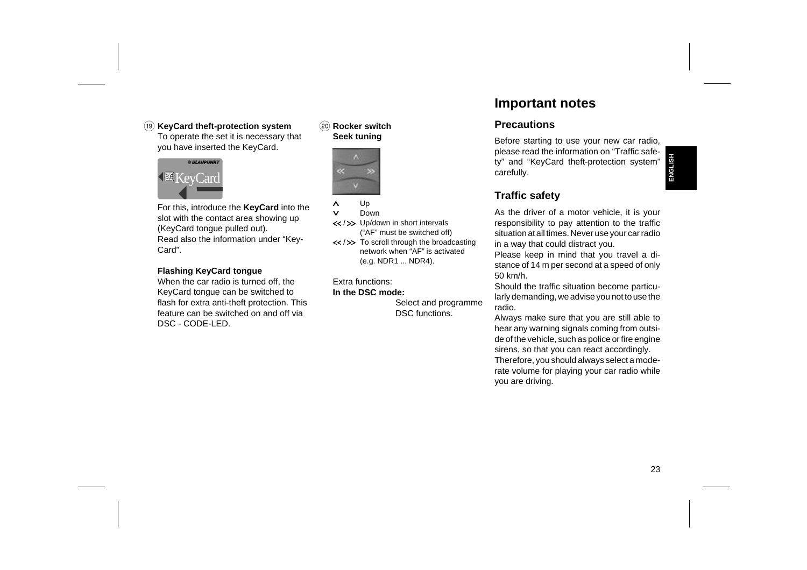#### C **KeyCard theft-protection system**

To operate the set it is necessary that you have inserted the KeyCard.



For this, introduce the **KeyCard** into the slot with the contact area showing up (KeyCard tongue pulled out). Read also the information under "Key-Card".

#### **Flashing KeyCard tongue**

When the car radio is turned off, the KeyCard tongue can be switched to flash for extra anti-theft protection. This feature can be switched on and off via DSC - CODE-LED.

#### (20) **Rocker switch Seek tuning**





 $\mathbf{v}$ Down

- / Up/down in short intervals ("AF" must be switched off)
- $\ll$  / > To scroll through the broadcasting network when "AF" is activated (e.g. NDR1 ... NDR4).

Extra functions:

#### **In the DSC mode:**

Select and programme DSC functions.

# **Important notes**

### **Precautions**

Before starting to use your new car radio, please read the information on "Traffic safety" and "KeyCard theft-protection system" carefully.

# **Traffic safety**

As the driver of a motor vehicle, it is your responsibility to pay attention to the traffic situation at all times. Never use your car radio in a way that could distract you.

Please keep in mind that you travel a distance of 14 m per second at a speed of only 50 km/h.

Should the traffic situation become particularly demanding, we advise you not to use the radio.

Always make sure that you are still able to hear any warning signals coming from outside of the vehicle, such as police or fire engine sirens, so that you can react accordingly. Therefore, you should always select a moderate volume for playing your car radio while you are driving.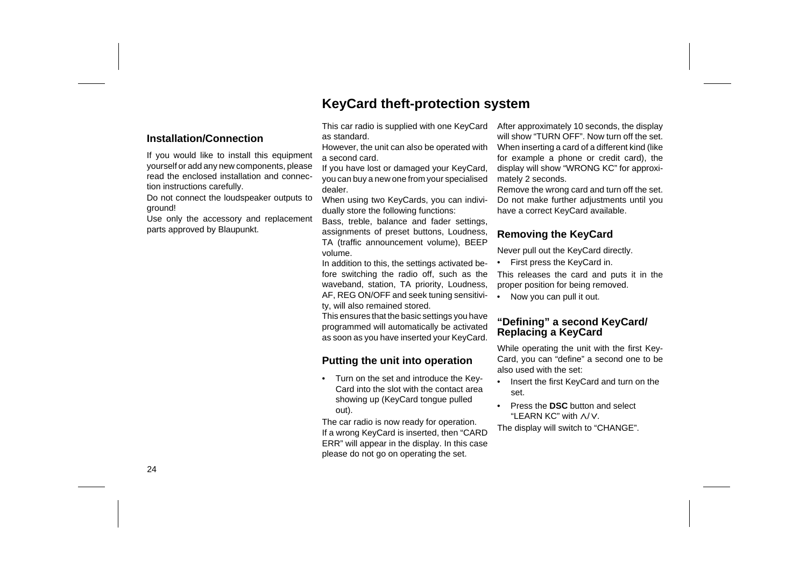#### **Installation/Connection**

If you would like to install this equipment yourself or add any new components, please read the enclosed installation and connection instructions carefully.

Do not connect the loudspeaker outputs to ground!

Use only the accessory and replacement parts approved by Blaupunkt.

# **KeyCard theft-protection system**

This car radio is supplied with one KeyCard as standard.

However, the unit can also be operated with a second card.

If you have lost or damaged your KeyCard, you can buy a new one from your specialised dealer.

When using two KeyCards, you can individually store the following functions:

Bass, treble, balance and fader settings, assignments of preset buttons, Loudness, TA (traffic announcement volume), BEEP volume.

In addition to this, the settings activated before switching the radio off, such as the waveband, station, TA priority, Loudness, AF, REG ON/OFF and seek tuning sensitivity, will also remained stored.

This ensures that the basic settings you have programmed will automatically be activated as soon as you have inserted your KeyCard.

### **Putting the unit into operation**

• Turn on the set and introduce the Key-Card into the slot with the contact area showing up (KeyCard tongue pulled out).

The car radio is now ready for operation. If a wrong KeyCard is inserted, then "CARD ERR" will appear in the display. In this case please do not go on operating the set.

After approximately 10 seconds, the display will show "TURN OFF". Now turn off the set. When inserting a card of a different kind (like for example a phone or credit card), the display will show "WRONG KC" for approximately 2 seconds.

Remove the wrong card and turn off the set. Do not make further adjustments until you have a correct KeyCard available.

### **Removing the KeyCard**

Never pull out the KeyCard directly.

•First press the KeyCard in.

This releases the card and puts it in the proper position for being removed.

•Now you can pull it out.

### **"Defining" a second KeyCard/ Replacing a KeyCard**

While operating the unit with the first Key-Card, you can "define" a second one to be also used with the set:

- • Insert the first KeyCard and turn on the set.
- • Press the **DSC** button and select "I FARN  $KC$ " with  $\wedge$ / $\vee$

The display will switch to "CHANGE".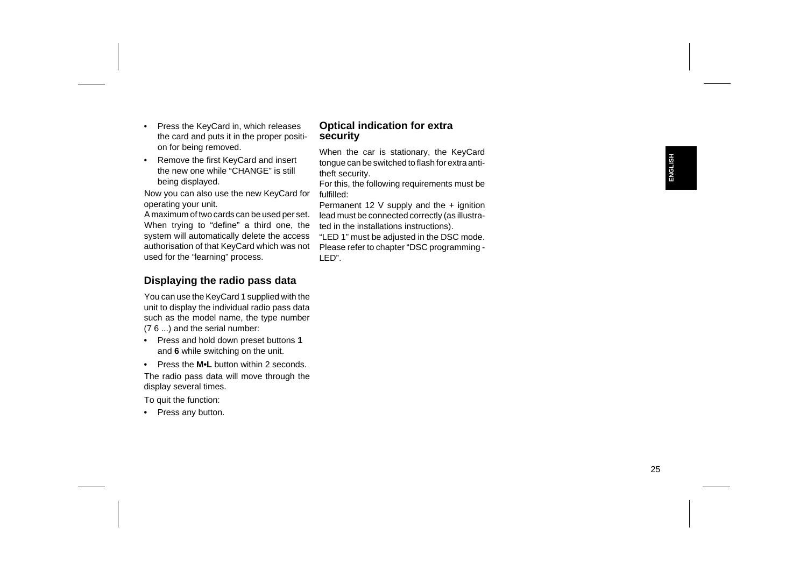- • Press the KeyCard in, which releases the card and puts it in the proper position for being removed.
- • Remove the first KeyCard and insert the new one while "CHANGE" is still being displayed.

Now you can also use the new KeyCard for operating your unit.

A maximum of two cards can be used per set. When trying to "define" a third one, the system will automatically delete the access authorisation of that KeyCard which was not used for the "learning" process.

#### **Displaying the radio pass data**

You can use the KeyCard 1 supplied with the unit to display the individual radio pass data such as the model name, the type number (7 6 ...) and the serial number:

**•** Press and hold down preset buttons **1** and **6** while switching on the unit.

**•** Press the **M•L** button within 2 seconds. The radio pass data will move through the display several times.

To quit the function:

**•**Press any button.

#### **Optical indication for extra security**

When the car is stationary, the KeyCard tongue can be switched to flash for extra antitheft security.

For this, the following requirements must be fulfilled:

Permanent 12 V supply and the + ignition lead must be connected correctly (as illustrated in the installations instructions).

"LED 1" must be adjusted in the DSC mode. Please refer to chapter "DSC programming - LED".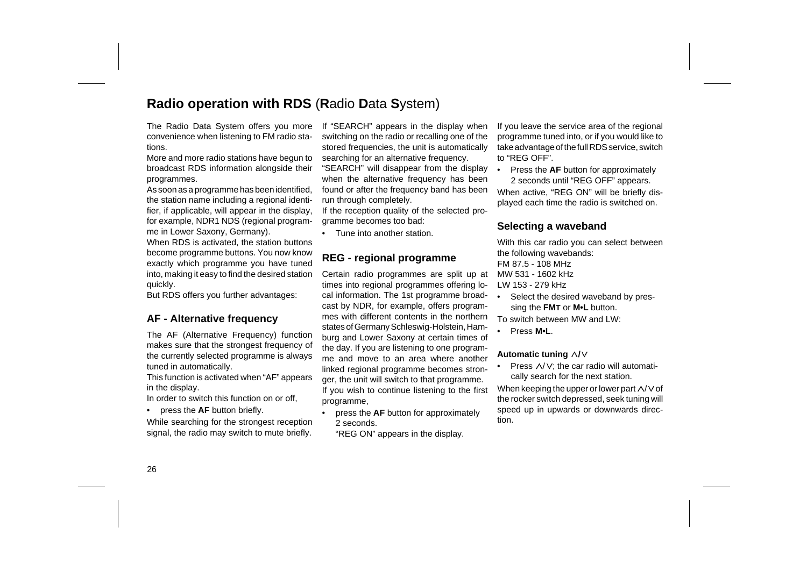# **Radio operation with RDS** (**R**adio **D**ata **S**ystem)

The Radio Data System offers you more convenience when listening to FM radio stations.

More and more radio stations have begun to broadcast RDS information alongside their programmes.

As soon as a programme has been identified, the station name including a regional identifier, if applicable, will appear in the display, for example, NDR1 NDS (regional programme in Lower Saxony, Germany).

When RDS is activated, the station buttons become programme buttons. You now know exactly which programme you have tuned into, making it easy to find the desired station quickly.

But RDS offers you further advantages:

### **AF - Alternative frequency**

The AF (Alternative Frequency) function makes sure that the strongest frequency of the currently selected programme is always tuned in automatically.

This function is activated when "AF" appears in the display.

In order to switch this function on or off.

•press the **AF** button briefly.

While searching for the strongest reception signal, the radio may switch to mute briefly.

If "SEARCH" appears in the display when switching on the radio or recalling one of the stored frequencies, the unit is automatically searching for an alternative frequency.

"SEARCH" will disappear from the display when the alternative frequency has been found or after the frequency band has been run through completely.

If the reception quality of the selected programme becomes too bad:

•Tune into another station.

# **REG - regional programme**

Certain radio programmes are split up at times into regional programmes offering local information. The 1st programme broadcast by NDR, for example, offers programmes with different contents in the northern states of Germany Schleswig-Holstein, Hamburg and Lower Saxony at certain times of the day. If you are listening to one programme and move to an area where another linked regional programme becomes stronger, the unit will switch to that programme. If you wish to continue listening to the first programme,

• press the **AF** button for approximately 2 seconds.

"REG ON" appears in the display.

If you leave the service area of the regional programme tuned into, or if you would like to take advantage of the full RDS service, switch to "REG OFF".

• Press the **AF** button for approximately 2 seconds until "REG OFF" appears.

When active, "REG ON" will be briefly displayed each time the radio is switched on.

### **Selecting a waveband**

With this car radio you can select between the following wavebands:

FM 87.5 - 108 MHz

MW 531 - 1602 kHz

LW 153 - 279 kHz

- • Select the desired waveband by pressing the **FM T** or **M•L** button.
- To switch between MW and LW:
- •Press **M•L**.

#### **Automatic tuning**  $\land/\lor$

• Press  $\wedge/\vee$ ; the car radio will automatically search for the next station.

When keeping the upper or lower part  $\wedge/\vee$  of the rocker switch depressed, seek tuning will speed up in upwards or downwards direction.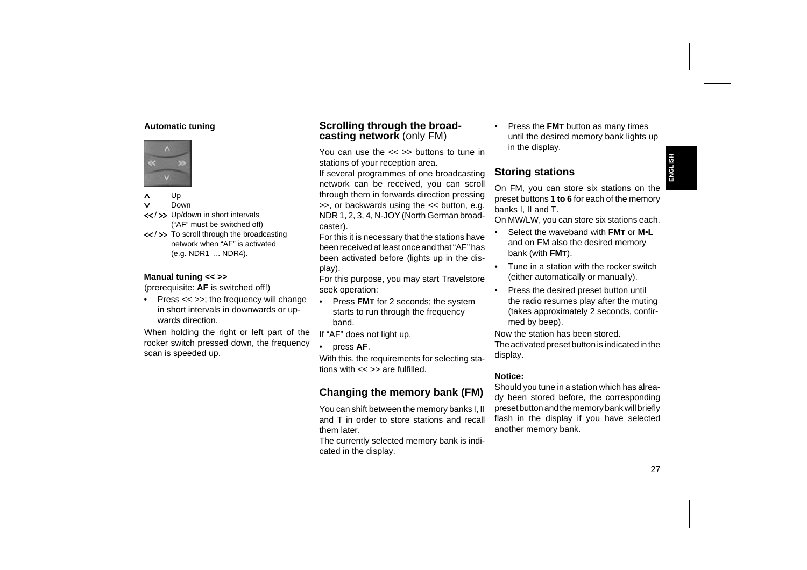#### **Automatic tuning**



 $\Lambda$ Up

- $\mathbf{v}$ Down
- / Up/down in short intervals ("AF" must be switched off)
- $\langle \langle \rangle \rangle$  To scroll through the broadcasting network when "AF" is activated (e.g. NDR1 ... NDR4).

#### **Manual tuning << >>**

(prerequisite: **AF** is switched off!)

• Press << >>; the frequency will change in short intervals in downwards or upwards direction.

When holding the right or left part of the rocker switch pressed down, the frequency scan is speeded up.

#### **Scrolling through the broadcasting network** (only FM)

You can use the << >> buttons to tune in stations of your reception area.

If several programmes of one broadcasting network can be received, you can scroll through them in forwards direction pressing >>, or backwards using the << button, e.g. NDR 1, 2, 3, 4, N-JOY (North German broadcaster).

For this it is necessary that the stations have been received at least once and that "AF" has been activated before (lights up in the display).

For this purpose, you may start Travelstore seek operation:

• Press **FM <sup>T</sup>** for 2 seconds; the system starts to run through the frequency band.

If "AF" does not light up,

•press **AF**.

With this, the requirements for selecting stations with  $<<$   $>>$  are fulfilled.

# **Changing the memory bank (FM)**

You can shift between the memory banks I, II and T in order to store stations and recall them later.

The currently selected memory bank is indicated in the display.

• Press the **FM <sup>T</sup>** button as many times until the desired memory bank lights up in the display.

### **Storing stations**

On FM, you can store six stations on the preset buttons **1 to 6** for each of the memory banks I, II and T.

On MW/LW, you can store six stations each.

- • Select the waveband with **FM T** or **M•L** and on FM also the desired memory bank (with **FM <sup>T</sup>**).
- • Tune in a station with the rocker switch (either automatically or manually).
- Press the desired preset button until the radio resumes play after the muting (takes approximately 2 seconds, confirmed by beep).

Now the station has been stored. The activated preset button is indicated in the display.

#### **Notice:**

Should you tune in a station which has already been stored before, the corresponding preset button and the memory bank will briefly flash in the display if you have selected another memory bank.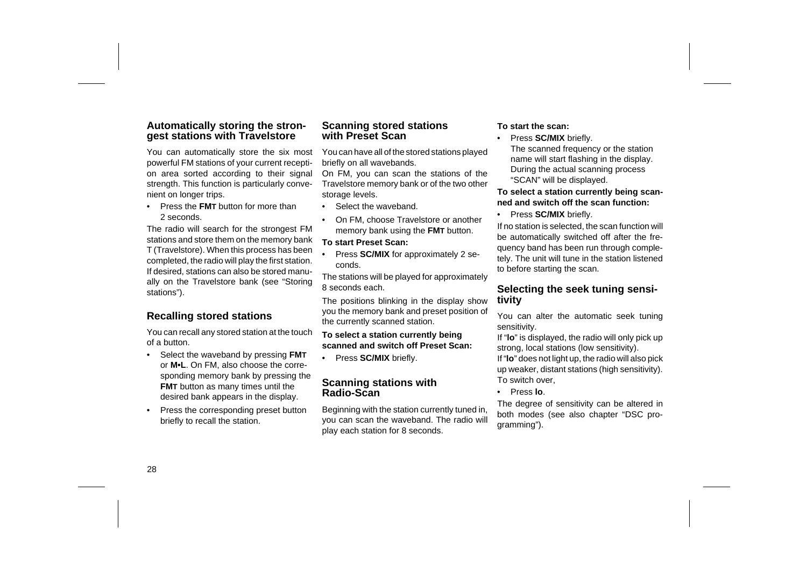#### **Automatically storing the strongest stations with Travelstore**

You can automatically store the six most powerful FM stations of your current reception area sorted according to their signal strength. This function is particularly convenient on longer trips.

• Press the **FM T** button for more than 2 seconds.

The radio will search for the strongest FM stations and store them on the memory bank T (Travelstore). When this process has been completed, the radio will play the first station. If desired, stations can also be stored manually on the Travelstore bank (see "Storing stations").

## **Recalling stored stations**

You can recall any stored station at the touch of a button.

- •**•** Select the waveband by pressing **FMT** or **M•L**. On FM, also choose the corresponding memory bank by pressing the **FM <sup>T</sup>** button as many times until the desired bank appears in the display.
- • Press the corresponding preset button briefly to recall the station.

#### **Scanning stored stations with Preset Scan**

You can have all of the stored stations played briefly on all wavebands.

On FM, you can scan the stations of the Travelstore memory bank or of the two other storage levels.

- Select the waveband.
- • On FM, choose Travelstore or another memory bank using the **FM T** button.

#### **To start Preset Scan:**

• Press **SC/MIX** for approximately 2 seconds.

The stations will be played for approximately 8 seconds each.

The positions blinking in the display show you the memory bank and preset position of the currently scanned station.

#### **To select a station currently being scanned and switch off Preset Scan:**

• Press **SC/MIX** briefly.

#### **Scanning stations with Radio-Scan**

Beginning with the station currently tuned in, you can scan the waveband. The radio will play each station for 8 seconds.

#### **To start the scan:**

• Press **SC/MIX** briefly. The scanned frequency or the station name will start flashing in the display. During the actual scanning process "SCAN" will be displayed.

#### **To select a station currently being scanned and switch off the scan function:**

•Press **SC/MIX** briefly.

If no station is selected, the scan function will be automatically switched off after the frequency band has been run through completely. The unit will tune in the station listened to before starting the scan.

#### **Selecting the seek tuning sensitivity**

You can alter the automatic seek tuning sensitivity.

If "**lo**" is displayed, the radio will only pick up strong, local stations (low sensitivity).

If "**lo**" does not light up, the radio will also pick up weaker, distant stations (high sensitivity). To switch over,

• Press **lo**.

The degree of sensitivity can be altered in both modes (see also chapter "DSC programming").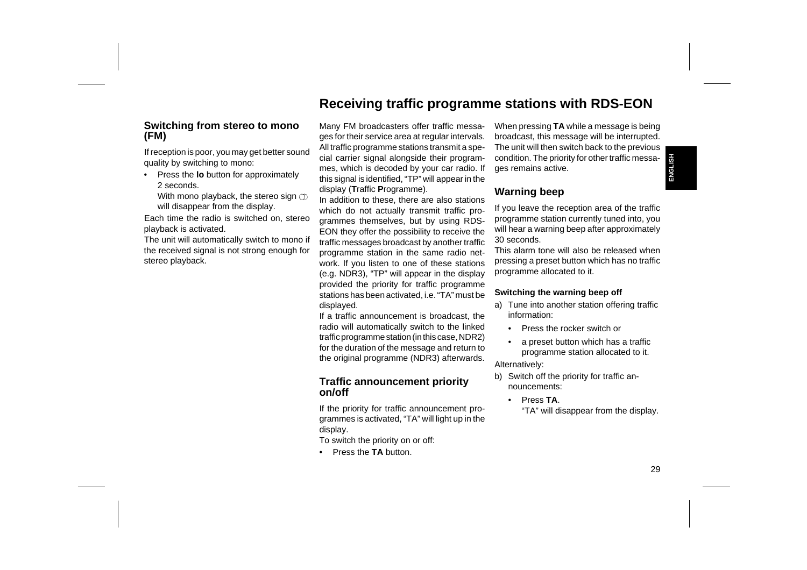# **Receiving traffic programme stations with RDS-EON**

#### **Switching from stereo to mono (FM)**

If reception is poor, you may get better sound quality by switching to mono:

• Press the **lo** button for approximately 2 seconds.

With mono playback, the stereo sign  $\circledcirc$ will disappear from the display.

Each time the radio is switched on, stereo playback is activated.

The unit will automatically switch to mono if the received signal is not strong enough for stereo playback.

Many FM broadcasters offer traffic messages for their service area at regular intervals. All traffic programme stations transmit a special carrier signal alongside their programmes, which is decoded by your car radio. If this signal is identified, "TP" will appear in the display (**T**raffic **P**rogramme).

In addition to these, there are also stations which do not actually transmit traffic programmes themselves, but by using RDS-EON they offer the possibility to receive the traffic messages broadcast by another traffic programme station in the same radio network. If you listen to one of these stations (e.g. NDR3), "TP" will appear in the display provided the priority for traffic programme stations has been activated, i.e. "TA" must be displayed.

If a traffic announcement is broadcast, the radio will automatically switch to the linked traffic programme station (in this case, NDR2) for the duration of the message and return to the original programme (NDR3) afterwards.

#### **Traffic announcement priority on/off**

If the priority for traffic announcement programmes is activated, "TA" will light up in the display.

To switch the priority on or off:

•Press the **TA** button.

When pressing **TA** while a message is being broadcast, this message will be interrupted. The unit will then switch back to the previous condition. The priority for other traffic messages remains active.

### **Warning beep**

If you leave the reception area of the traffic programme station currently tuned into, you will hear a warning beep after approximately 30 seconds.

This alarm tone will also be released when pressing a preset button which has no traffic programme allocated to it.

#### **Switching the warning beep off**

- a) Tune into another station offering traffic information:
	- •Press the rocker switch or
	- • a preset button which has a traffic programme station allocated to it.

#### Alternatively:

- b) Switch off the priority for traffic announcements:
	- •Press **TA**.

"TA" will disappear from the display.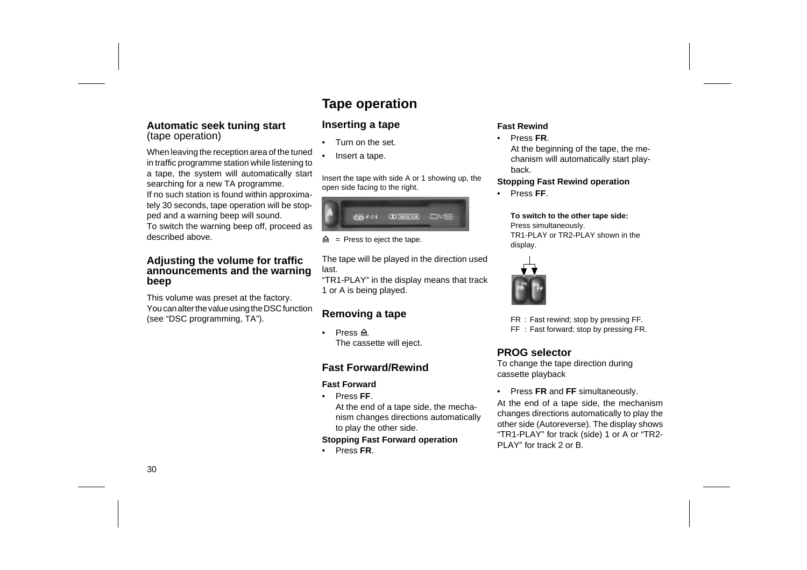#### **Automatic seek tuning start** (tape operation)

When leaving the reception area of the tuned in traffic programme station while listening to a tape, the system will automatically start searching for a new TA programme. If no such station is found within approximately 30 seconds, tape operation will be stopped and a warning beep will sound. To switch the warning beep off, proceed as described above.

#### **Adjusting the volume for traffic announcements and the warning beep**

This volume was preset at the factory. You can alter the value using the DSC function (see "DSC programming, TA").

# **Tape operation**

# **Inserting a tape**

- •Turn on the set.
- •Insert a tape.

Insert the tape with side A or 1 showing up, the open side facing to the right.



= Press to eject the tape.

The tape will be played in the direction used last.

"TR1-PLAY" in the display means that track 1 or A is being played.

# **Removing a tape**

Press  $\triangle$ . The cassette will eject.

# **Fast Forward/Rewind**

### **Fast Forward**

•

•

 Press **FF**. At the end of a tape side, the mechanism changes directions automatically to play the other side.

#### **Stopping Fast Forward operation**

• Press **FR**.

## **Fast Rewind**

• Press **FR**. At the beginning of the tape, the mechanism will automatically start playback.

#### **Stopping Fast Rewind operation**

•Press **FF**.

#### **To switch to the other tape side:**

Press simultaneously. TR1-PLAY or TR2-PLAY shown in the display.



- FR : Fast rewind; stop by pressing FF.
- FF : Fast forward; stop by pressing FR.

# **PROG selector**

To change the tape direction during cassette playback

•Press **FR** and **FF** simultaneously.

At the end of a tape side, the mechanism changes directions automatically to play the other side (Autoreverse). The display shows "TR1-PLAY" for track (side) 1 or A or "TR2- PLAY" for track 2 or B.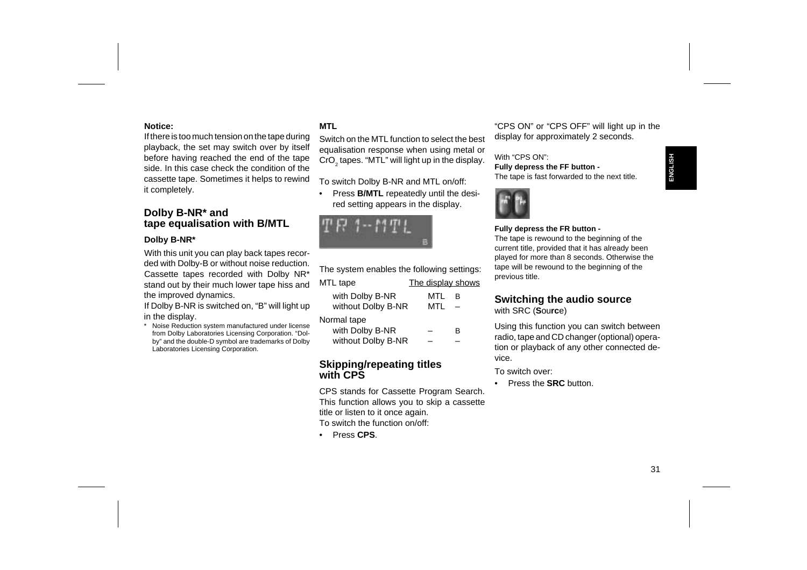#### **Notice:**

If there is too much tension on the tape during playback, the set may switch over by itself before having reached the end of the tape side. In this case check the condition of the cassette tape. Sometimes it helps to rewind it completely.

#### **Dolby B-NR\* and tape equalisation with B/MTL**

#### **Dolby B-NR\***

With this unit you can play back tapes recorded with Dolby-B or without noise reduction. Cassette tapes recorded with Dolby NR\* stand out by their much lower tape hiss and the improved dynamics.

If Dolby B-NR is switched on, "B" will light up in the display.

\* Noise Reduction system manufactured under license from Dolby Laboratories Licensing Corporation. "Dolby" and the double-D symbol are trademarks of Dolby Laboratories Licensing Corporation.

#### **MTL**

Switch on the MTL function to select the best equalisation response when using metal or CrO<sub>2</sub> tapes. "MTL" will light up in the display.

To switch Dolby B-NR and MTL on/off:

• Press **B/MTL** repeatedly until the desired setting appears in the display.



The system enables the following settings:

| MTL tape           | The display shows |                          |
|--------------------|-------------------|--------------------------|
| with Dolby B-NR    | MTL               | в                        |
| without Dolby B-NR | MTL               | $\overline{\phantom{a}}$ |
| Normal tape        |                   |                          |
| with Dolby B-NR    |                   | R                        |
| without Dolby B-NR |                   |                          |

#### **Skipping/repeating titles with CPS**

CPS stands for Cassette Program Search. This function allows you to skip a cassette title or listen to it once again. To switch the function on/off:

•Press **CPS**. "CPS ON" or "CPS OFF" will light up in the display for approximately 2 seconds.

#### With "CPS ON": **Fully depress the FF button -**

The tape is fast forwarded to the next title.



#### **Fully depress the FR button -**

The tape is rewound to the beginning of the current title, provided that it has already been played for more than 8 seconds. Otherwise the tape will be rewound to the beginning of the previous title.

# **Switching the audio source**

with SRC (**S**ou**rc**e)

Using this function you can switch between radio, tape and CD changer (optional) operation or playback of any other connected device.

To switch over:

•Press the **SRC** button.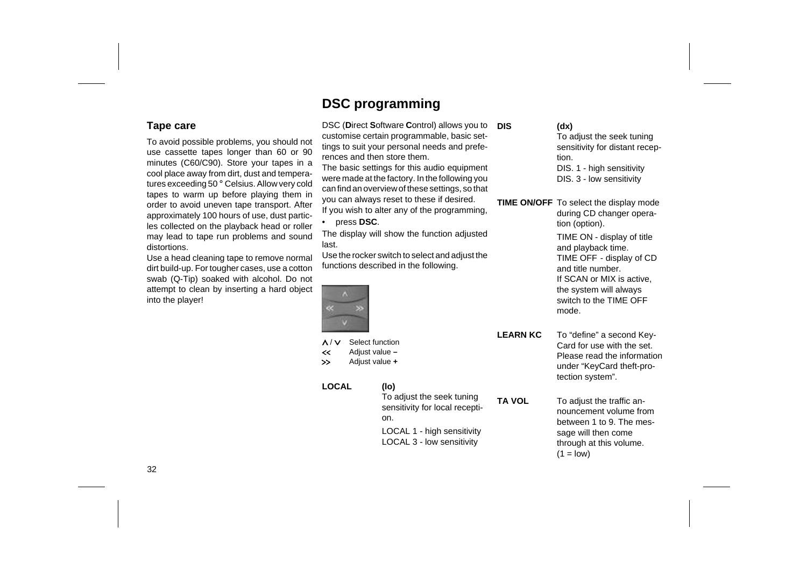# **DSC programming**

## **Tape care**

To avoid possible problems, you should not use cassette tapes longer than 60 or 90 minutes (C60/C90). Store your tapes in a cool place away from dirt, dust and temperatures exceeding 50 ° Celsius. Allow very cold tapes to warm up before playing them in order to avoid uneven tape transport. After approximately 100 hours of use, dust particles collected on the playback head or roller may lead to tape run problems and sound distortions.

Use a head cleaning tape to remove normal dirt build-up. For tougher cases, use a cotton swab (Q-Tip) soaked with alcohol. Do not attempt to clean by inserting a hard object into the player!

#### DSC (**D**irect **S**oftware **C**ontrol) allows you to customise certain programmable, basic set-

tings to suit your personal needs and preferences and then store them.

The basic settings for this audio equipment were made at the factory. In the following you can find an overview of these settings, so that you can always reset to these if desired. If you wish to alter any of the programming,

•press **DSC**.

The display will show the function adjusted last.

Use the rocker switch to select and adjust the functions described in the following.



| $\Lambda$ / $\vee$ | Select function |
|--------------------|-----------------|
| ≺<                 | Adjust value -  |

 $\rightarrow$ Adjust value **<sup>+</sup>**

**LOCAL (lo)**

To adjust the seek tuning sensitivity for local reception.

LOCAL 1 - high sensitivity LOCAL 3 - low sensitivity

#### **DIS (dx)**

To adjust the seek tuning sensitivity for distant reception.

DIS. 1 - high sensitivity

- DIS. 3 low sensitivity
- **TIME ON/OFF** To select the display mode during CD changer operation (option).

TIME ON - display of title and playback time. TIME OFF - display of CD and title number. If SCAN or MIX is active, the system will always switch to the TIME OFF mode.

**LEARN KC** To "define" a second Key-Card for use with the set. Please read the information under "KeyCard theft-protection system".

**TA VOL** To adjust the traffic announcement volume from between 1 to 9. The message will then come through at this volume.  $(1 = low)$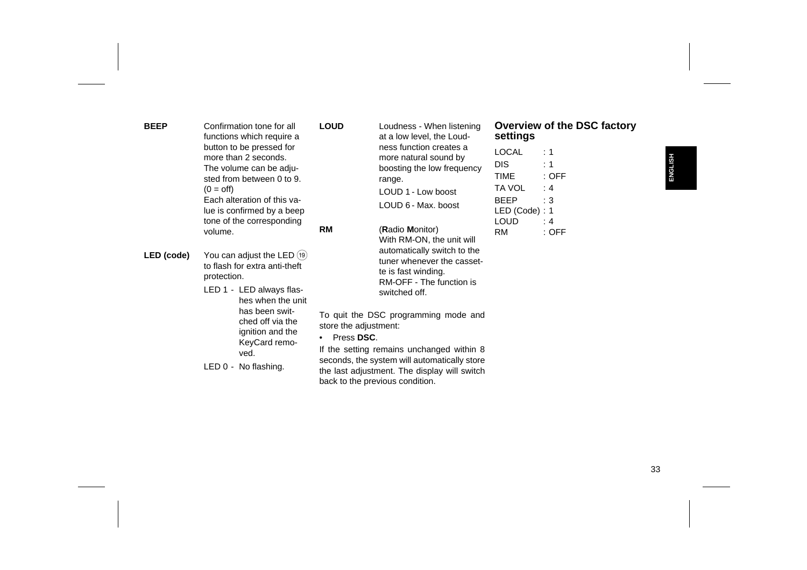| LOUD | Loudness - When listening<br>at a low level, the Loud-                                                                                                                                                               | settings                                                                             | <b>Overview of the DSC factory</b>                                |
|------|----------------------------------------------------------------------------------------------------------------------------------------------------------------------------------------------------------------------|--------------------------------------------------------------------------------------|-------------------------------------------------------------------|
| RM   | ness function creates a<br>more natural sound by<br>boosting the low frequency<br>range.<br>LOUD 1 - Low boost<br>LOUD 6 - Max. boost<br>(Radio Monitor)<br>With RM-ON, the unit will<br>automatically switch to the | LOCAL<br>DIS.<br>TIME<br>TA VOL<br><b>BEEP</b><br>LED (Code): 1<br>LOUD<br><b>RM</b> | $\therefore$ 1<br>:1<br>: OFF<br>$\div$ 4<br>:3<br>: 4<br>$:$ OFF |

ENGLISH **ENGLISH**

**LED (code)** You can adjust the LED (19) to flash for extra anti-theft protection.

**BEEP** Confirmation tone for all

 $(0 = \text{off})$ 

volume.

functions which require a button to be pressed for more than 2 seconds. The volume can be adjusted from between 0 to 9.

Each alteration of this value is confirmed by a beep tone of the corresponding

- LED 1 LED always flashes when the unit has been switched off via the ignition and the KeyCard removed.
- LED 0 No flashing.

tuner whenever the cassette is fast winding. RM-OFF - The function is switched off.

To quit the DSC programming mode and store the adjustment:

• Press **DSC**.

If the setting remains unchanged within 8 seconds, the system will automatically store the last adjustment. The display will switch back to the previous condition.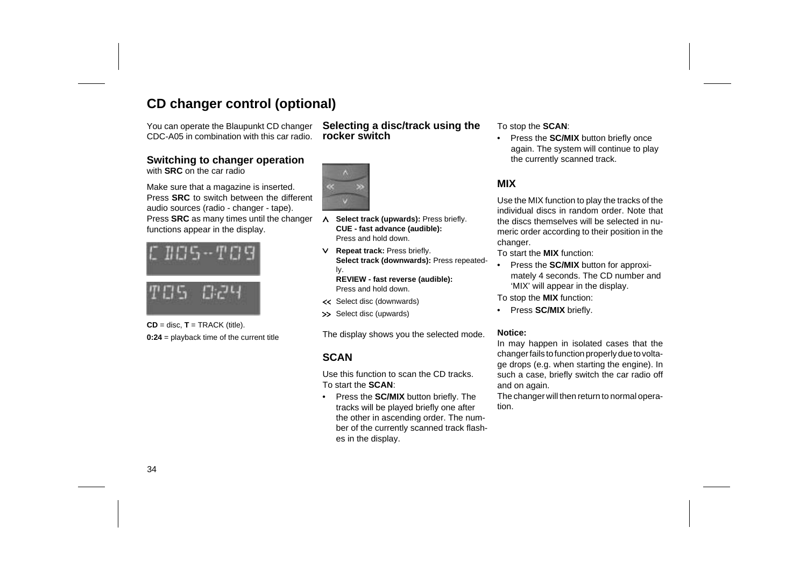# **CD changer control (optional)**

You can operate the Blaupunkt CD changer CDC-A05 in combination with this car radio.

### **Switching to changer operation**

with **SRC** on the car radio

Make sure that a magazine is inserted. Press **SRC** to switch between the different audio sources (radio - changer - tape). Press **SRC** as many times until the changer functions appear in the display.





**CD** = disc, **T** = TRACK (title). **0:24** = playback time of the current title

**Selecting a disc/track using the rocker switch**



- **Select track (upwards):** Press briefly.  $\mathbf{A}$ **CUE - fast advance (audible):** Press and hold down.
- **Repeat track:** Press briefly. **Select track (downwards):** Press repeatedly. **REVIEW - fast reverse (audible):** Press and hold down.
- Select disc (downwards)
- >> Select disc (upwards)

The display shows you the selected mode.

# **SCAN**

Use this function to scan the CD tracks. To start the **SCAN**:

• Press the **SC/MIX** button briefly. The tracks will be played briefly one after the other in ascending order. The number of the currently scanned track flashes in the display.

To stop the **SCAN**:

• Press the **SC/MIX** button briefly once again. The system will continue to play the currently scanned track.

# **MIX**

Use the MIX function to play the tracks of the individual discs in random order. Note that the discs themselves will be selected in numeric order according to their position in the changer.

To start the **MIX** function:

• Press the **SC/MIX** button for approximately 4 seconds. The CD number and 'MIX' will appear in the display.

To stop the **MIX** function:

•Press **SC/MIX** briefly.

#### **Notice:**

In may happen in isolated cases that the changer fails to function properly due to voltage drops (e.g. when starting the engine). In such a case, briefly switch the car radio off and on again.

The changer will then return to normal operation.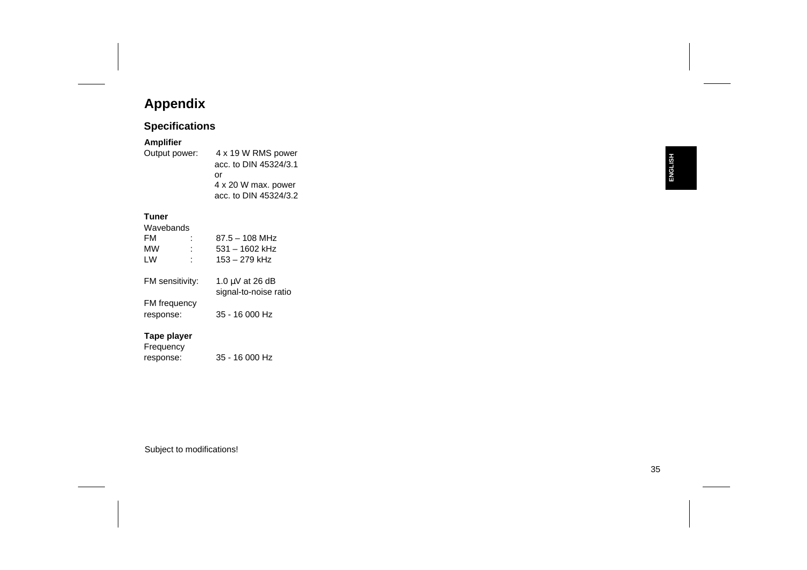# **Appendix**

# **Specifications**

#### **Amplifier**

| Output power: | 4 x 19 W RMS power    |
|---------------|-----------------------|
|               | acc. to DIN 45324/3.1 |
|               | Ωr                    |
|               | 4 x 20 W max. power   |
|               | acc. to DIN 45324/3.2 |
|               |                       |

### **Tuner**

| Wavebands       |   |                                               |
|-----------------|---|-----------------------------------------------|
| FM              |   | 87.5 - 108 MHz                                |
| МW              |   | 531 - 1602 kHz                                |
| l W             | İ | 153 – 279 kHz                                 |
| FM sensitivity: |   | 1.0 $\mu$ V at 26 dB<br>signal-to-noise ratio |
| FM frequency    |   |                                               |
| response:       |   | 35 - 16 000 Hz                                |
|                 |   |                                               |

# **Tape player**

**Frequency** response: 35 - 16 000 Hz